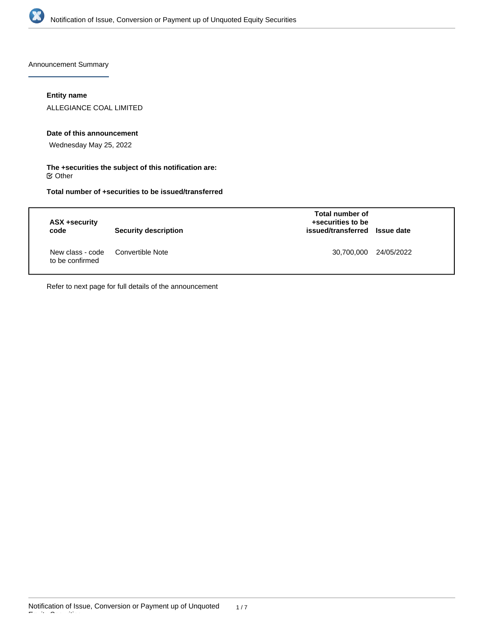

Announcement Summary

## **Entity name**

ALLEGIANCE COAL LIMITED

#### **Date of this announcement**

Wednesday May 25, 2022

#### **The +securities the subject of this notification are:**  $\mathfrak S$  Other

**Total number of +securities to be issued/transferred**

| ASX +security<br>code               | Security description | Total number of<br>+securities to be<br>issued/transferred Issue date |            |
|-------------------------------------|----------------------|-----------------------------------------------------------------------|------------|
| New class - code<br>to be confirmed | Convertible Note     | 30,700,000                                                            | 24/05/2022 |

Refer to next page for full details of the announcement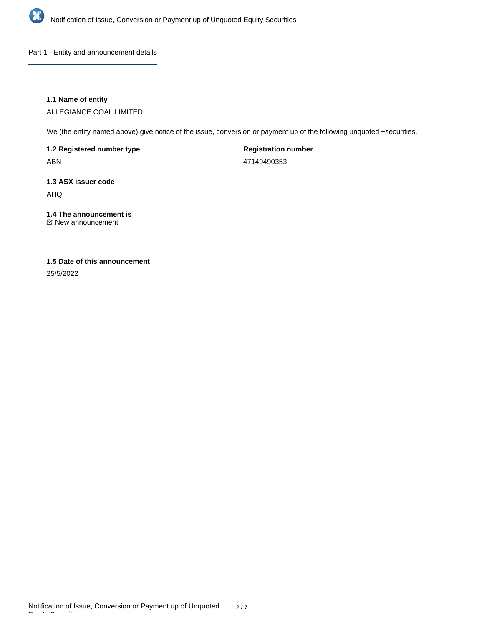

Part 1 - Entity and announcement details

## **1.1 Name of entity**

ALLEGIANCE COAL LIMITED

We (the entity named above) give notice of the issue, conversion or payment up of the following unquoted +securities.

**1.2 Registered number type** ABN

**Registration number** 47149490353

**1.3 ASX issuer code** AHQ

# **1.4 The announcement is**

New announcement

# **1.5 Date of this announcement**

25/5/2022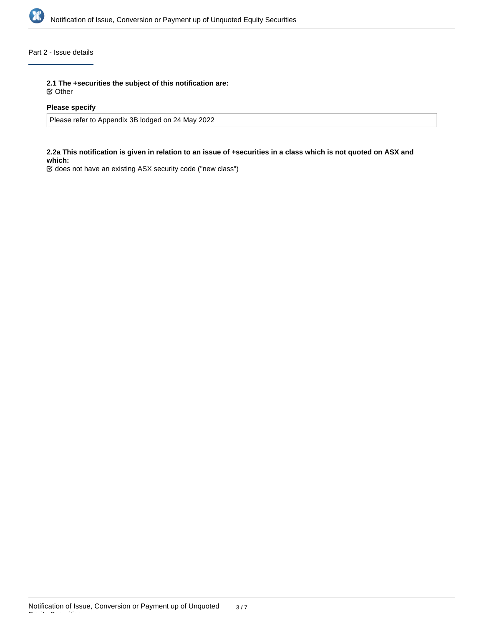

# Part 2 - Issue details

**2.1 The +securities the subject of this notification are:**

Other

#### **Please specify**

Please refer to Appendix 3B lodged on 24 May 2022

#### **2.2a This notification is given in relation to an issue of +securities in a class which is not quoted on ASX and which:**

does not have an existing ASX security code ("new class")

Equity Securities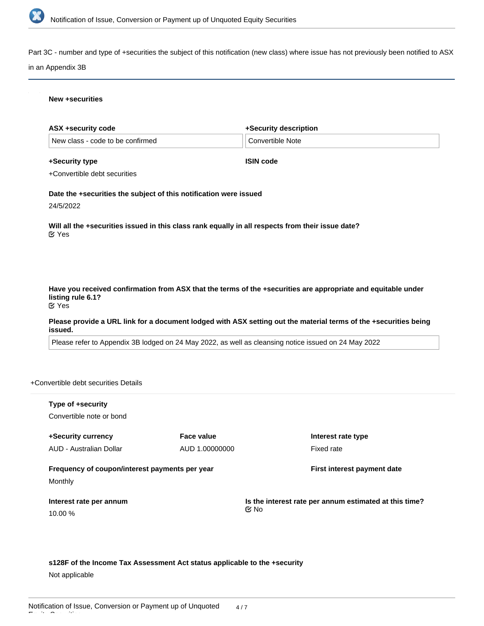

Part 3C - number and type of +securities the subject of this notification (new class) where issue has not previously been notified to ASX

#### in an Appendix 3B

#### **New +securities**

| ASX +security code               | +Security description         |
|----------------------------------|-------------------------------|
| New class - code to be confirmed | <sup>i</sup> Convertible Note |

**+Security type**

**ISIN code**

+Convertible debt securities

**Date the +securities the subject of this notification were issued**

24/5/2022

**Will all the +securities issued in this class rank equally in all respects from their issue date?** Yes

**Have you received confirmation from ASX that the terms of the +securities are appropriate and equitable under listing rule 6.1?** Yes

**Please provide a URL link for a document lodged with ASX setting out the material terms of the +securities being issued.**

Please refer to Appendix 3B lodged on 24 May 2022, as well as cleansing notice issued on 24 May 2022

+Convertible debt securities Details

| Type of +security<br>Convertible note or bond             |                |                                                                             |
|-----------------------------------------------------------|----------------|-----------------------------------------------------------------------------|
| +Security currency                                        | Face value     | Interest rate type                                                          |
| AUD - Australian Dollar                                   | AUD 1.00000000 | Fixed rate                                                                  |
| Frequency of coupon/interest payments per year<br>Monthly |                | First interest payment date                                                 |
| Interest rate per annum<br>10.00%                         |                | Is the interest rate per annum estimated at this time?<br>$\mathfrak{C}$ No |

**s128F of the Income Tax Assessment Act status applicable to the +security** Not applicable

**Is the +security perpetual (i.e. no maturity)? Maturity date**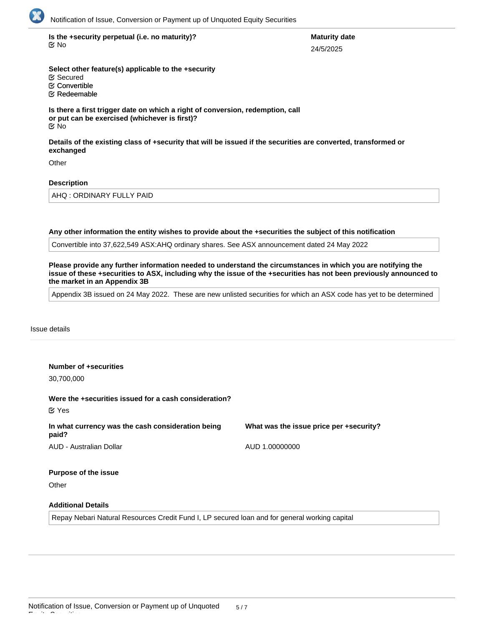

**Is the +security perpetual (i.e. no maturity)? Maturity date** No

# 24/5/2025

**Select other feature(s) applicable to the +security E** Redeemable Convertible Secured

**Is there a first trigger date on which a right of conversion, redemption, call or put can be exercised (whichever is first)?** No

**Details of the existing class of +security that will be issued if the securities are converted, transformed or exchanged**

**Other** 

# **Description**

AHQ : ORDINARY FULLY PAID

**Any other information the entity wishes to provide about the +securities the subject of this notification**

Convertible into 37,622,549 ASX:AHQ ordinary shares. See ASX announcement dated 24 May 2022

**Please provide any further information needed to understand the circumstances in which you are notifying the issue of these +securities to ASX, including why the issue of the +securities has not been previously announced to the market in an Appendix 3B**

Appendix 3B issued on 24 May 2022. These are new unlisted securities for which an ASX code has yet to be determined

#### Issue details

Equity Securities

| Number of +securities<br>30,700,000                                        |                                         |
|----------------------------------------------------------------------------|-----------------------------------------|
| Were the +securities issued for a cash consideration?<br>$\mathfrak C$ Yes |                                         |
| In what currency was the cash consideration being<br>paid?                 | What was the issue price per +security? |
| AUD - Australian Dollar                                                    | AUD 1.00000000                          |
| <b>Purpose of the issue</b>                                                |                                         |
| Other                                                                      |                                         |
| <b>Additional Details</b>                                                  |                                         |

Repay Nebari Natural Resources Credit Fund I, LP secured loan and for general working capital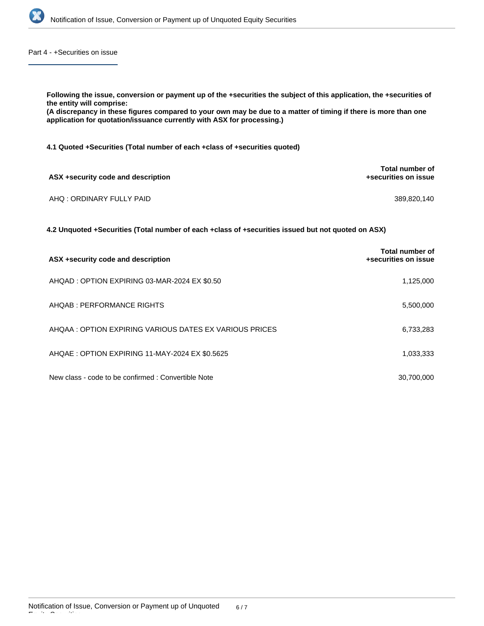

Part 4 - +Securities on issue

| Following the issue, conversion or payment up of the +securities the subject of this application, the +securities of<br>the entity will comprise:<br>(A discrepancy in these figures compared to your own may be due to a matter of timing if there is more than one<br>application for quotation/issuance currently with ASX for processing.) |                                         |
|------------------------------------------------------------------------------------------------------------------------------------------------------------------------------------------------------------------------------------------------------------------------------------------------------------------------------------------------|-----------------------------------------|
| 4.1 Quoted +Securities (Total number of each +class of +securities quoted)                                                                                                                                                                                                                                                                     |                                         |
| ASX +security code and description                                                                                                                                                                                                                                                                                                             | Total number of<br>+securities on issue |
| AHO: ORDINARY FULLY PAID                                                                                                                                                                                                                                                                                                                       | 389,820,140                             |
| 4.2 Unquoted +Securities (Total number of each +class of +securities issued but not quoted on ASX)                                                                                                                                                                                                                                             |                                         |
| ASX +security code and description                                                                                                                                                                                                                                                                                                             | Total number of<br>+securities on issue |
| AHQAD: OPTION EXPIRING 03-MAR-2024 EX \$0.50                                                                                                                                                                                                                                                                                                   | 1,125,000                               |
| AHQAB: PERFORMANCE RIGHTS                                                                                                                                                                                                                                                                                                                      | 5,500,000                               |
| AHOAA : OPTION EXPIRING VARIOUS DATES EX VARIOUS PRICES                                                                                                                                                                                                                                                                                        | 6,733,283                               |
| AHQAE: OPTION EXPIRING 11-MAY-2024 EX \$0.5625                                                                                                                                                                                                                                                                                                 | 1,033,333                               |

New class - code to be confirmed : Convertible Note 30,700,000

Equity Securities